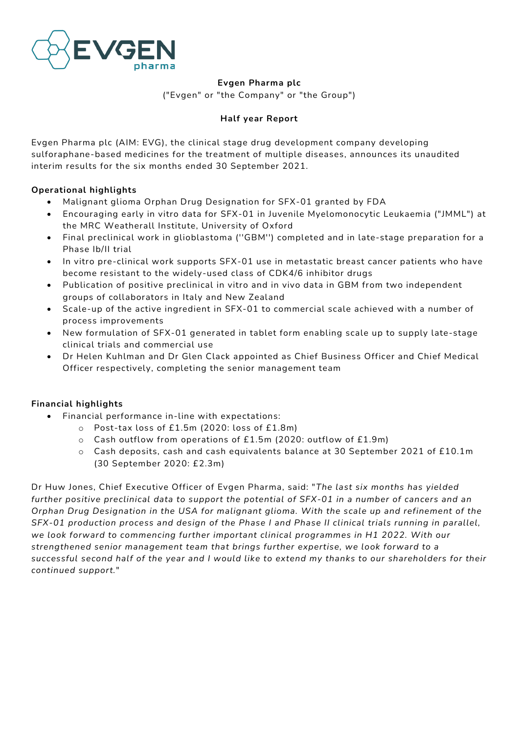

**Evgen Pharma plc**

("Evgen" or "the Company" or "the Group")

# **Half year Report**

Evgen Pharma plc (AIM: EVG), the clinical stage drug development company developing sulforaphane-based medicines for the treatment of multiple diseases, announces its unaudited interim results for the six months ended 30 September 2021.

# **Operational highlights**

- Malignant glioma Orphan Drug Designation for SFX-01 granted by FDA
- Encouraging early in vitro data for SFX-01 in Juvenile Myelomonocytic Leukaemia ("JMML") at the MRC Weatherall Institute, University of Oxford
- Final preclinical work in glioblastoma (''GBM'') completed and in late-stage preparation for a Phase Ib/II trial
- In vitro pre-clinical work supports SFX-01 use in metastatic breast cancer patients who have become resistant to the widely-used class of CDK4/6 inhibitor drugs
- Publication of positive preclinical in vitro and in vivo data in GBM from two independent groups of collaborators in Italy and New Zealand
- Scale-up of the active ingredient in SFX-01 to commercial scale achieved with a number of process improvements
- New formulation of SFX-01 generated in tablet form enabling scale up to supply late-stage clinical trials and commercial use
- Dr Helen Kuhlman and Dr Glen Clack appointed as Chief Business Officer and Chief Medical Officer respectively, completing the senior management team

# **Financial highlights**

- Financial performance in-line with expectations:
	- o Post-tax loss of £1.5m (2020: loss of £1.8m)
	- $\circ$  Cash outflow from operations of £1.5m (2020: outflow of £1.9m)
	- o Cash deposits, cash and cash equivalents balance at 30 September 2021 of £10.1m (30 September 2020: £2.3m)

Dr Huw Jones, Chief Executive Officer of Evgen Pharma, said: "*The last six months has yielded further positive preclinical data to support the potential of SFX-01 in a number of cancers and an Orphan Drug Designation in the USA for malignant glioma. With the scale up and refinement of the SFX-01 production process and design of the Phase I and Phase II clinical trials running in parallel, we look forward to commencing further important clinical programmes in H1 2022. With our strengthened senior management team that brings further expertise, we look forward to a successful second half of the year and I would like to extend my thanks to our shareholders for their continued support.*"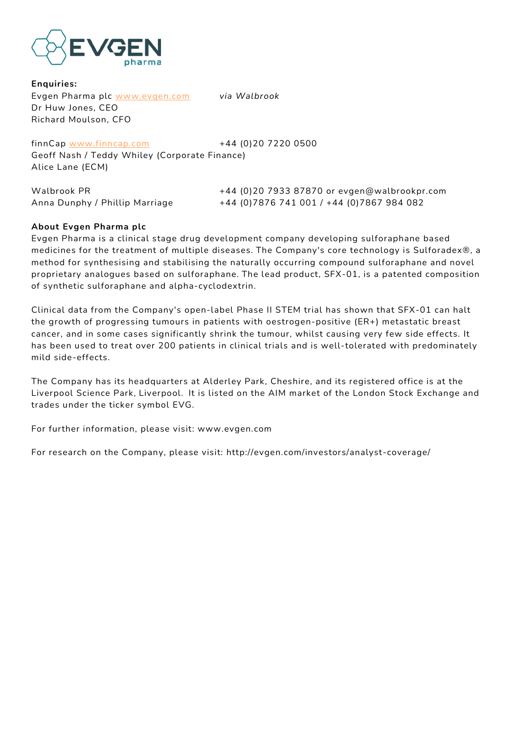

**Enquiries:** Evgen Pharma plc [www.evgen.com](http://www.evgen.com/) *via Walbrook* Dr Huw Jones, CEO Richard Moulson, CFO

finnCap [www.finncap.com](http://www.finncap.com/) +44 (0)20 7220 0500 Geoff Nash / Teddy Whiley (Corporate Finance) Alice Lane (ECM)

| Walbrook PR                    | +44 (0)20 7933 87870 or evgen@walbrookpr.com |
|--------------------------------|----------------------------------------------|
| Anna Dunphy / Phillip Marriage | +44 (0)7876 741 001 / +44 (0)7867 984 082    |

### **About Evgen Pharma plc**

Evgen Pharma is a clinical stage drug development company developing sulforaphane based medicines for the treatment of multiple diseases. The Company's core technology is Sulforadex®, a method for synthesising and stabilising the naturally occurring compound sulforaphane and novel proprietary analogues based on sulforaphane. The lead product, SFX-01, is a patented composition of synthetic sulforaphane and alpha-cyclodextrin.

Clinical data from the Company's open-label Phase II STEM trial has shown that SFX-01 can halt the growth of progressing tumours in patients with oestrogen-positive (ER+) metastatic breast cancer, and in some cases significantly shrink the tumour, whilst causing very few side effects. It has been used to treat over 200 patients in clinical trials and is well-tolerated with predominately mild side-effects.

The Company has its headquarters at Alderley Park, Cheshire, and its registered office is at the Liverpool Science Park, Liverpool.  It is listed on the AIM market of the London Stock Exchange and trades under the ticker symbol EVG.

For further information, please visit: www.evgen.com

For research on the Company, please visit: http://evgen.com/investors/analyst-coverage/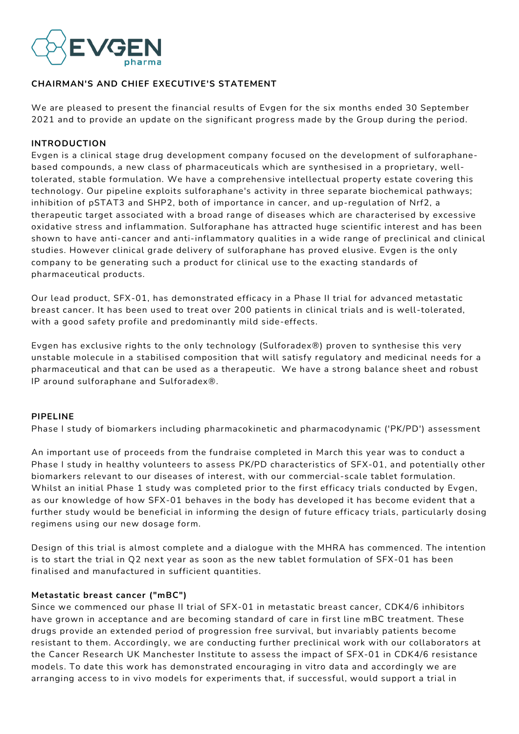

### **CHAIRMAN'S AND CHIEF EXECUTIVE'S STATEMENT**

We are pleased to present the financial results of Evgen for the six months ended 30 September 2021 and to provide an update on the significant progress made by the Group during the period.

#### **INTRODUCTION**

Evgen is a clinical stage drug development company focused on the development of sulforaphanebased compounds, a new class of pharmaceuticals which are synthesised in a proprietary, welltolerated, stable formulation. We have a comprehensive intellectual property estate covering this technology. Our pipeline exploits sulforaphane's activity in three separate biochemical pathways; inhibition of pSTAT3 and SHP2, both of importance in cancer, and up-regulation of Nrf2, a therapeutic target associated with a broad range of diseases which are characterised by excessive oxidative stress and inflammation. Sulforaphane has attracted huge scientific interest and has been shown to have anti-cancer and anti-inflammatory qualities in a wide range of preclinical and clinical studies. However clinical grade delivery of sulforaphane has proved elusive. Evgen is the only company to be generating such a product for clinical use to the exacting standards of pharmaceutical products.

Our lead product, SFX-01, has demonstrated efficacy in a Phase II trial for advanced metastatic breast cancer. It has been used to treat over 200 patients in clinical trials and is well-tolerated, with a good safety profile and predominantly mild side-effects.

Evgen has exclusive rights to the only technology (Sulforadex®) proven to synthesise this very unstable molecule in a stabilised composition that will satisfy regulatory and medicinal needs for a pharmaceutical and that can be used as a therapeutic. We have a strong balance sheet and robust IP around sulforaphane and Sulforadex®.

#### **PIPELINE**

Phase I study of biomarkers including pharmacokinetic and pharmacodynamic ('PK/PD') assessment

An important use of proceeds from the fundraise completed in March this year was to conduct a Phase I study in healthy volunteers to assess PK/PD characteristics of SFX-01, and potentially other biomarkers relevant to our diseases of interest, with our commercial-scale tablet formulation. Whilst an initial Phase 1 study was completed prior to the first efficacy trials conducted by Evgen, as our knowledge of how SFX-01 behaves in the body has developed it has become evident that a further study would be beneficial in informing the design of future efficacy trials, particularly dosing regimens using our new dosage form.

Design of this trial is almost complete and a dialogue with the MHRA has commenced. The intention is to start the trial in Q2 next year as soon as the new tablet formulation of SFX-01 has been finalised and manufactured in sufficient quantities.

#### **Metastatic breast cancer ("mBC")**

Since we commenced our phase II trial of SFX-01 in metastatic breast cancer, CDK4/6 inhibitors have grown in acceptance and are becoming standard of care in first line mBC treatment. These drugs provide an extended period of progression free survival, but invariably patients become resistant to them. Accordingly, we are conducting further preclinical work with our collaborators at the Cancer Research UK Manchester Institute to assess the impact of SFX-01 in CDK4/6 resistance models. To date this work has demonstrated encouraging in vitro data and accordingly we are arranging access to in vivo models for experiments that, if successful, would support a trial in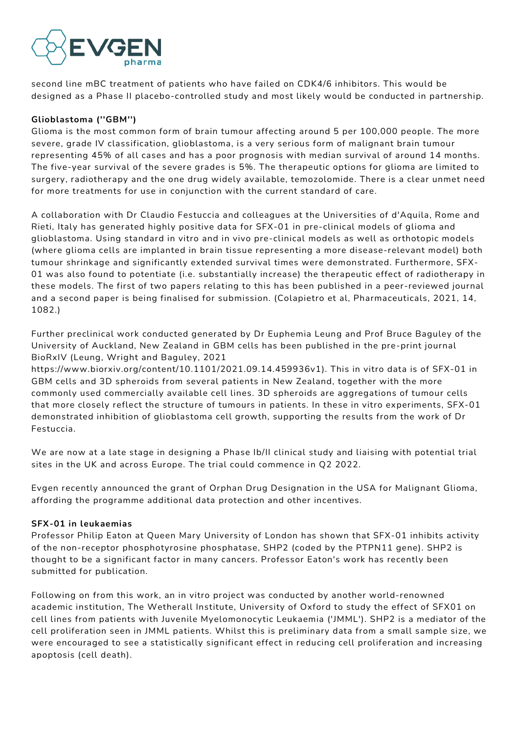

second line mBC treatment of patients who have failed on CDK4/6 inhibitors. This would be designed as a Phase II placebo-controlled study and most likely would be conducted in partnership.

### **Glioblastoma (''GBM'')**

Glioma is the most common form of brain tumour affecting around 5 per 100,000 people. The more severe, grade IV classification, glioblastoma, is a very serious form of malignant brain tumour representing 45% of all cases and has a poor prognosis with median survival of around 14 months. The five-year survival of the severe grades is 5%. The therapeutic options for glioma are limited to surgery, radiotherapy and the one drug widely available, temozolomide. There is a clear unmet need for more treatments for use in conjunction with the current standard of care.

A collaboration with Dr Claudio Festuccia and colleagues at the Universities of d'Aquila, Rome and Rieti, Italy has generated highly positive data for SFX-01 in pre-clinical models of glioma and glioblastoma. Using standard in vitro and in vivo pre-clinical models as well as orthotopic models (where glioma cells are implanted in brain tissue representing a more disease-relevant model) both tumour shrinkage and significantly extended survival times were demonstrated. Furthermore, SFX-01 was also found to potentiate (i.e. substantially increase) the therapeutic effect of radiotherapy in these models. The first of two papers relating to this has been published in a peer-reviewed journal and a second paper is being finalised for submission. (Colapietro et al, Pharmaceuticals, 2021, 14, 1082.)

Further preclinical work conducted generated by Dr Euphemia Leung and Prof Bruce Baguley of the University of Auckland, New Zealand in GBM cells has been published in the pre-print journal BioRxIV (Leung, Wright and Baguley, 2021

https://www.biorxiv.org/content/10.1101/2021.09.14.459936v1). This in vitro data is of SFX-01 in GBM cells and 3D spheroids from several patients in New Zealand, together with the more commonly used commercially available cell lines. 3D spheroids are aggregations of tumour cells that more closely reflect the structure of tumours in patients. In these in vitro experiments, SFX-01 demonstrated inhibition of glioblastoma cell growth, supporting the results from the work of Dr Festuccia.

We are now at a late stage in designing a Phase Ib/II clinical study and liaising with potential trial sites in the UK and across Europe. The trial could commence in Q2 2022.

Evgen recently announced the grant of Orphan Drug Designation in the USA for Malignant Glioma, affording the programme additional data protection and other incentives.

#### **SFX-01 in leukaemias**

Professor Philip Eaton at Queen Mary University of London has shown that SFX-01 inhibits activity of the non-receptor phosphotyrosine phosphatase, SHP2 (coded by the PTPN11 gene). SHP2 is thought to be a significant factor in many cancers. Professor Eaton's work has recently been submitted for publication.

Following on from this work, an in vitro project was conducted by another world-renowned academic institution, The Wetherall Institute, University of Oxford to study the effect of SFX01 on cell lines from patients with Juvenile Myelomonocytic Leukaemia ('JMML'). SHP2 is a mediator of the cell proliferation seen in JMML patients. Whilst this is preliminary data from a small sample size, we were encouraged to see a statistically significant effect in reducing cell proliferation and increasing apoptosis (cell death).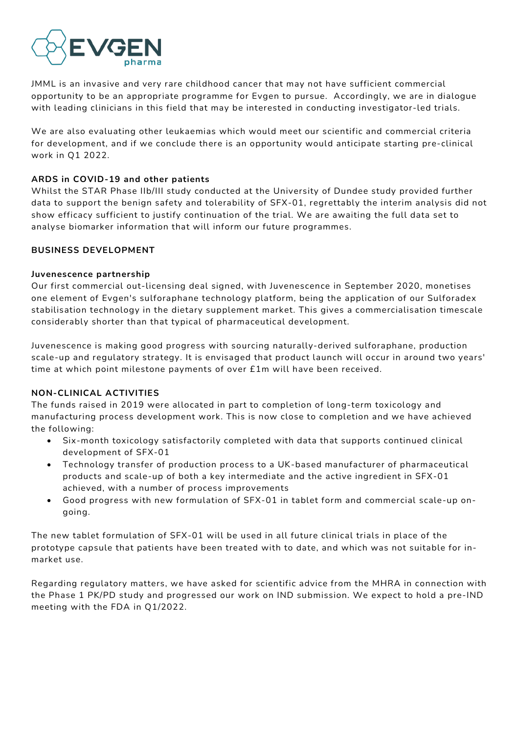

JMML is an invasive and very rare childhood cancer that may not have sufficient commercial opportunity to be an appropriate programme for Evgen to pursue. Accordingly, we are in dialogue with leading clinicians in this field that may be interested in conducting investigator-led trials.

We are also evaluating other leukaemias which would meet our scientific and commercial criteria for development, and if we conclude there is an opportunity would anticipate starting pre-clinical work in Q1 2022.

### **ARDS in COVID-19 and other patients**

Whilst the STAR Phase IIb/III study conducted at the University of Dundee study provided further data to support the benign safety and tolerability of SFX-01, regrettably the interim analysis did not show efficacy sufficient to justify continuation of the trial. We are awaiting the full data set to analyse biomarker information that will inform our future programmes.

#### **BUSINESS DEVELOPMENT**

#### **Juvenescence partnership**

Our first commercial out-licensing deal signed, with Juvenescence in September 2020, monetises one element of Evgen's sulforaphane technology platform, being the application of our Sulforadex stabilisation technology in the dietary supplement market. This gives a commercialisation timescale considerably shorter than that typical of pharmaceutical development.

Juvenescence is making good progress with sourcing naturally-derived sulforaphane, production scale-up and regulatory strategy. It is envisaged that product launch will occur in around two years' time at which point milestone payments of over £1m will have been received.

#### **NON-CLINICAL ACTIVITIES**

The funds raised in 2019 were allocated in part to completion of long-term toxicology and manufacturing process development work. This is now close to completion and we have achieved the following:

- Six-month toxicology satisfactorily completed with data that supports continued clinical development of SFX-01
- Technology transfer of production process to a UK-based manufacturer of pharmaceutical products and scale-up of both a key intermediate and the active ingredient in SFX-01 achieved, with a number of process improvements
- Good progress with new formulation of SFX-01 in tablet form and commercial scale-up ongoing.

The new tablet formulation of SFX-01 will be used in all future clinical trials in place of the prototype capsule that patients have been treated with to date, and which was not suitable for inmarket use.

Regarding regulatory matters, we have asked for scientific advice from the MHRA in connection with the Phase 1 PK/PD study and progressed our work on IND submission. We expect to hold a pre-IND meeting with the FDA in Q1/2022.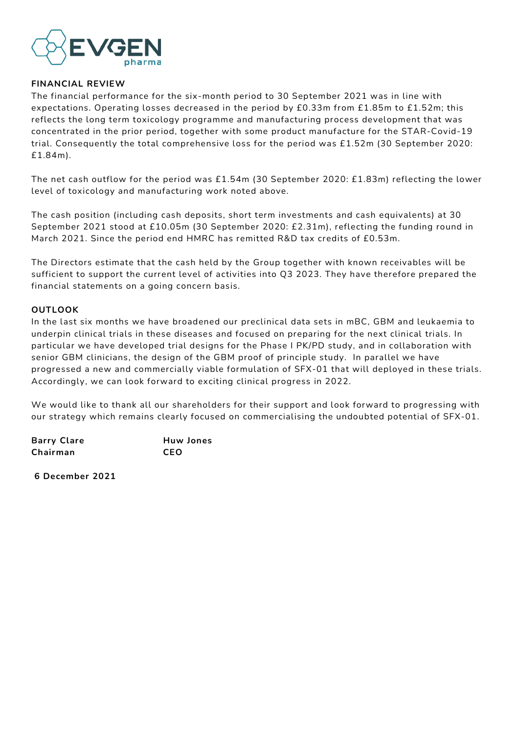

#### **FINANCIAL REVIEW**

The financial performance for the six-month period to 30 September 2021 was in line with expectations. Operating losses decreased in the period by £0.33m from £1.85m to £1.52m; this reflects the long term toxicology programme and manufacturing process development that was concentrated in the prior period, together with some product manufacture for the STAR-Covid-19 trial. Consequently the total comprehensive loss for the period was £1.52m (30 September 2020: £1.84m).

The net cash outflow for the period was £1.54m (30 September 2020: £1.83m) reflecting the lower level of toxicology and manufacturing work noted above.

The cash position (including cash deposits, short term investments and cash equivalents) at 30 September 2021 stood at £10.05m (30 September 2020: £2.31m), reflecting the funding round in March 2021. Since the period end HMRC has remitted R&D tax credits of £0.53m.

The Directors estimate that the cash held by the Group together with known receivables will be sufficient to support the current level of activities into Q3 2023. They have therefore prepared the financial statements on a going concern basis.

#### **OUTLOOK**

In the last six months we have broadened our preclinical data sets in mBC, GBM and leukaemia to underpin clinical trials in these diseases and focused on preparing for the next clinical trials. In particular we have developed trial designs for the Phase I PK/PD study, and in collaboration with senior GBM clinicians, the design of the GBM proof of principle study. In parallel we have progressed a new and commercially viable formulation of SFX-01 that will deployed in these trials. Accordingly, we can look forward to exciting clinical progress in 2022.

We would like to thank all our shareholders for their support and look forward to progressing with our strategy which remains clearly focused on commercialising the undoubted potential of SFX-01.

| <b>Barry Clare</b> | <b>Huw Jones</b> |
|--------------------|------------------|
| Chairman           | CEO              |

**6 December 2021**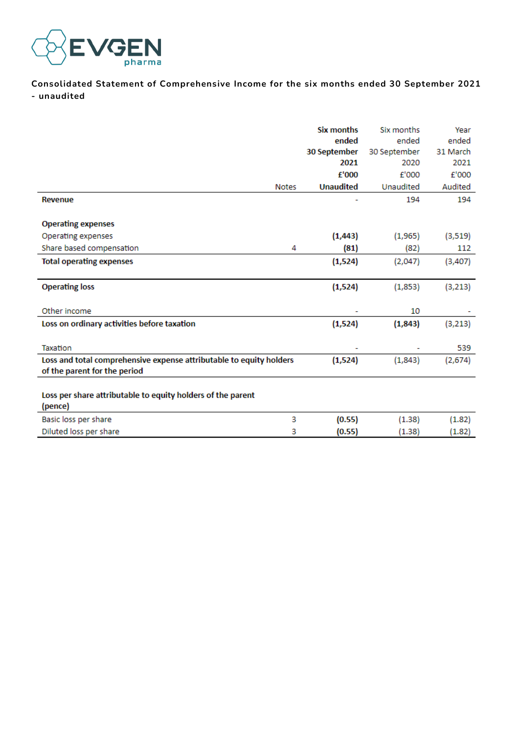

**Consolidated Statement of Comprehensive Income for the six months ended 30 September 2021 - unaudited**

|                                                                     |              | <b>Six months</b> | Six months   | Year     |
|---------------------------------------------------------------------|--------------|-------------------|--------------|----------|
|                                                                     |              | ended             | ended        | ended    |
|                                                                     |              | 30 September      | 30 September | 31 March |
|                                                                     |              | 2021              | 2020         | 2021     |
|                                                                     |              | £'000             | f'000        | £'000    |
|                                                                     | <b>Notes</b> | <b>Unaudited</b>  | Unaudited    | Audited  |
| Revenue                                                             |              |                   | 194          | 194      |
|                                                                     |              |                   |              |          |
| <b>Operating expenses</b>                                           |              |                   |              |          |
| Operating expenses                                                  |              | (1, 443)          | (1,965)      | (3,519)  |
| Share based compensation                                            | 4            | (81)              | (82)         | 112      |
| <b>Total operating expenses</b>                                     |              | (1,524)           | (2,047)      | (3,407)  |
|                                                                     |              |                   |              |          |
| <b>Operating loss</b>                                               |              | (1,524)           | (1,853)      | (3, 213) |
|                                                                     |              |                   |              |          |
| Other income                                                        |              |                   | 10           |          |
| Loss on ordinary activities before taxation                         |              | (1,524)           | (1,843)      | (3, 213) |
|                                                                     |              |                   |              |          |
| Taxation                                                            |              |                   |              | 539      |
| Loss and total comprehensive expense attributable to equity holders |              | (1,524)           | (1,843)      | (2,674)  |
| of the parent for the period                                        |              |                   |              |          |
|                                                                     |              |                   |              |          |
| Loss per share attributable to equity holders of the parent         |              |                   |              |          |
| (pence)                                                             |              |                   |              |          |
| Basic loss per share                                                | 3            | (0.55)            | (1.38)       | (1.82)   |
| Diluted loss per share                                              | з            | (0.55)            | (1.38)       | (1.82)   |
|                                                                     |              |                   |              |          |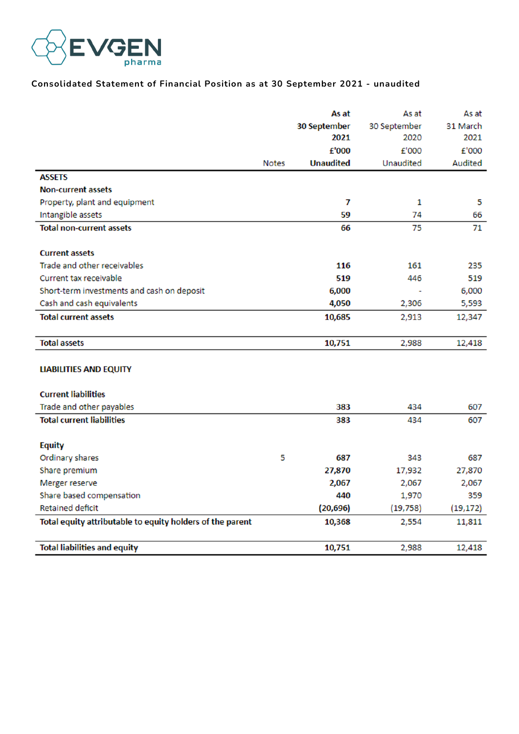

### **Consolidated Statement of Financial Position as at 30 September 2021 - unaudited**

|                                                           |              | As at            | As at        | As at          |
|-----------------------------------------------------------|--------------|------------------|--------------|----------------|
|                                                           |              | 30 September     | 30 September | 31 March       |
|                                                           |              | 2021             | 2020         | 2021           |
|                                                           |              | £'000            | £'000        | £'000          |
|                                                           | <b>Notes</b> | <b>Unaudited</b> | Unaudited    | <b>Audited</b> |
| <b>ASSETS</b>                                             |              |                  |              |                |
| <b>Non-current assets</b>                                 |              |                  |              |                |
| Property, plant and equipment                             |              | 7                | 1            | 5              |
| Intangible assets                                         |              | 59               | 74           | 66             |
| <b>Total non-current assets</b>                           |              | 66               | 75           | 71             |
| <b>Current assets</b>                                     |              |                  |              |                |
| Trade and other receivables                               |              | 116              | 161          | 235            |
| Current tax receivable                                    |              | 519              | 446          | 519            |
| Short-term investments and cash on deposit                |              | 6,000            |              | 6,000          |
| Cash and cash equivalents                                 |              | 4,050            | 2,306        | 5,593          |
| <b>Total current assets</b>                               |              | 10,685           | 2,913        | 12,347         |
| <b>Total assets</b>                                       |              | 10,751           | 2,988        | 12,418         |
| <b>LIABILITIES AND EQUITY</b>                             |              |                  |              |                |
| <b>Current liabilities</b>                                |              |                  |              |                |
| Trade and other payables                                  |              | 383              | 434          | 607            |
| <b>Total current liabilities</b>                          |              | 383              | 434          | 607            |
| <b>Equity</b>                                             |              |                  |              |                |
| Ordinary shares                                           | 5            | 687              | 343          | 687            |
| Share premium                                             |              | 27,870           | 17,932       | 27,870         |
| Merger reserve                                            |              | 2,067            | 2,067        | 2,067          |
| Share based compensation                                  |              | 440              | 1,970        | 359            |
| <b>Retained deficit</b>                                   |              | (20, 696)        | (19, 758)    | (19, 172)      |
| Total equity attributable to equity holders of the parent |              | 10,368           | 2,554        | 11,811         |
| <b>Total liabilities and equity</b>                       |              | 10,751           | 2,988        | 12,418         |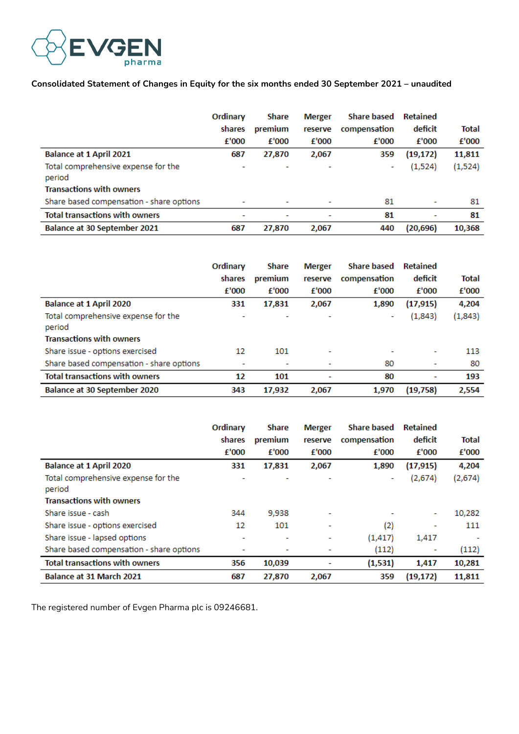

### **Consolidated Statement of Changes in Equity for the six months ended 30 September 2021 – unaudited**

|                                               | Ordinary<br>shares<br>£'000 | <b>Share</b><br>premium<br>£'000 | <b>Merger</b><br>reserve<br>f'000 | <b>Share based</b><br>compensation<br>f'000 | <b>Retained</b><br>deficit<br>f'000 | Total<br>f'000 |
|-----------------------------------------------|-----------------------------|----------------------------------|-----------------------------------|---------------------------------------------|-------------------------------------|----------------|
| <b>Balance at 1 April 2021</b>                | 687                         | 27,870                           | 2,067                             | 359                                         | (19, 172)                           | 11,811         |
| Total comprehensive expense for the<br>period | ۰                           |                                  |                                   | ۰                                           | (1,524)                             | (1,524)        |
| <b>Transactions with owners</b>               |                             |                                  |                                   |                                             |                                     |                |
| Share based compensation - share options      | ٠                           |                                  |                                   | 81                                          | ۰                                   | 81             |
| <b>Total transactions with owners</b>         | $\overline{\phantom{0}}$    | $\overline{\phantom{a}}$         |                                   | 81                                          | -                                   | 81             |
| Balance at 30 September 2021                  | 687                         | 27.870                           | 2,067                             | 440                                         | (20, 696)                           | 10,368         |

|                                               | Ordinary                 | <b>Share</b> | <b>Merger</b> | <b>Share based</b> | <b>Retained</b>          |              |
|-----------------------------------------------|--------------------------|--------------|---------------|--------------------|--------------------------|--------------|
|                                               | shares                   | premium      | reserve       | compensation       | deficit                  | <b>Total</b> |
|                                               | f'000                    | £'000        | f'000         | f'000              | f'000                    | f'000        |
| <b>Balance at 1 April 2020</b>                | 331                      | 17,831       | 2.067         | 1,890              | (17, 915)                | 4,204        |
| Total comprehensive expense for the<br>period | $\overline{\phantom{0}}$ |              |               | ٠                  | (1,843)                  | (1,843)      |
| <b>Transactions with owners</b>               |                          |              |               |                    |                          |              |
| Share issue - options exercised               | 12                       | 101          |               | ۰                  | $\overline{\phantom{a}}$ | 113          |
| Share based compensation - share options      | $\overline{\phantom{0}}$ |              |               | 80                 | ٠                        | 80           |
| <b>Total transactions with owners</b>         | 12                       | 101          | ۰             | 80                 | ۰                        | 193          |
| Balance at 30 September 2020                  | 343                      | 17,932       | 2.067         | 1,970              | (19, 758)                | 2,554        |

|                                               | Ordinary | <b>Share</b> | <b>Merger</b> | <b>Share based</b> | <b>Retained</b> |         |
|-----------------------------------------------|----------|--------------|---------------|--------------------|-----------------|---------|
|                                               | shares   | premium      | reserve       | compensation       | deficit         | Total   |
|                                               | f'000    | f'000        | £'000         | f'000              | f'000           | f'000   |
| <b>Balance at 1 April 2020</b>                | 331      | 17,831       | 2,067         | 1,890              | (17, 915)       | 4,204   |
| Total comprehensive expense for the<br>period |          |              |               | ۰                  | (2,674)         | (2,674) |
| <b>Transactions with owners</b>               |          |              |               |                    |                 |         |
| Share issue - cash                            | 344      | 9,938        | ٠             |                    | ٠               | 10,282  |
| Share issue - options exercised               | 12       | 101          |               | (2)                | ٠               | 111     |
| Share issue - lapsed options                  | ٠        | ٠            | ٠             | (1, 417)           | 1,417           |         |
| Share based compensation - share options      | ٠        |              |               | (112)              | ٠               | (112)   |
| <b>Total transactions with owners</b>         | 356      | 10,039       | ۰             | (1,531)            | 1,417           | 10,281  |
| Balance at 31 March 2021                      | 687      | 27,870       | 2,067         | 359                | (19, 172)       | 11,811  |

The registered number of Evgen Pharma plc is 09246681.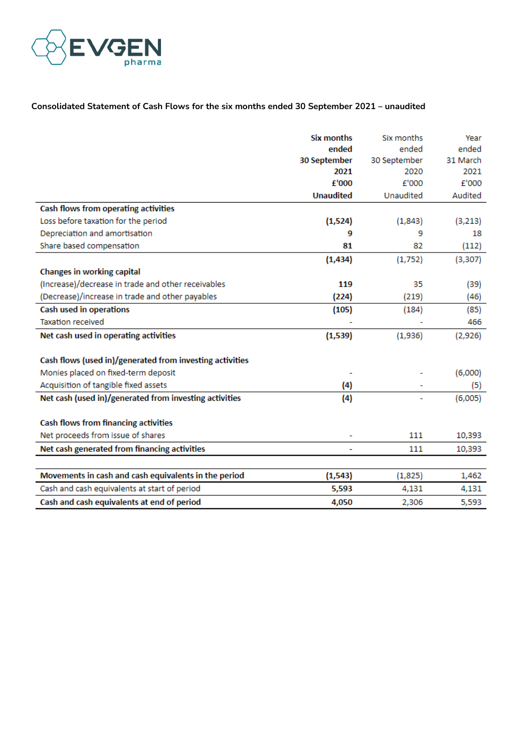

# **Consolidated Statement of Cash Flows for the six months ended 30 September 2021 – unaudited**

|                                                          | <b>Six months</b> | Six months   | Year     |
|----------------------------------------------------------|-------------------|--------------|----------|
|                                                          | ended             | ended        | ended    |
|                                                          | 30 September      | 30 September | 31 March |
|                                                          | 2021              | 2020         | 2021     |
|                                                          | f'000             | £'000        | £'000    |
|                                                          | <b>Unaudited</b>  | Unaudited    | Audited  |
| Cash flows from operating activities                     |                   |              |          |
| Loss before taxation for the period                      | (1,524)           | (1,843)      | (3,213)  |
| Depreciation and amortisation                            | 9                 | 9            | 18       |
| Share based compensation                                 | 81                | 82           | (112)    |
|                                                          | (1, 434)          | (1,752)      | (3, 307) |
| Changes in working capital                               |                   |              |          |
| (Increase)/decrease in trade and other receivables       | 119               | 35           | (39)     |
| (Decrease)/increase in trade and other payables          | (224)             | (219)        | (46)     |
| Cash used in operations                                  | (105)             | (184)        | (85)     |
| <b>Taxation received</b>                                 |                   |              | 466      |
| Net cash used in operating activities                    | (1,539)           | (1,936)      | (2,926)  |
|                                                          |                   |              |          |
| Cash flows (used in)/generated from investing activities |                   |              |          |
| Monies placed on fixed-term deposit                      |                   |              | (6,000)  |
| Acquisition of tangible fixed assets                     | $\left( 4\right)$ |              | (5)      |
| Net cash (used in)/generated from investing activities   | (4)               |              | (6,005)  |
|                                                          |                   |              |          |
| <b>Cash flows from financing activities</b>              |                   |              |          |
| Net proceeds from issue of shares                        |                   | 111          | 10,393   |
| Net cash generated from financing activities             |                   | 111          | 10,393   |
|                                                          |                   |              |          |
| Movements in cash and cash equivalents in the period     | (1, 543)          | (1,825)      | 1,462    |
| Cash and cash equivalents at start of period             | 5,593             | 4,131        | 4,131    |
| Cash and cash equivalents at end of period               | 4,050             | 2,306        | 5,593    |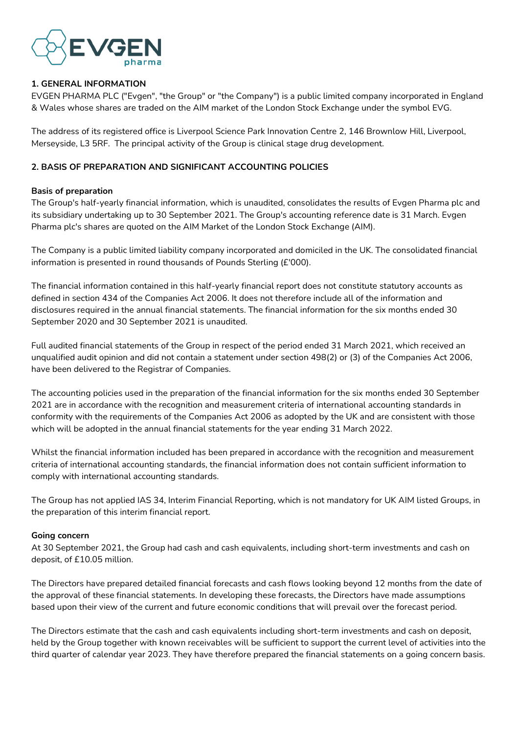

### **1. GENERAL INFORMATION**

EVGEN PHARMA PLC ("Evgen", "the Group" or "the Company") is a public limited company incorporated in England & Wales whose shares are traded on the AIM market of the London Stock Exchange under the symbol EVG.

The address of its registered office is Liverpool Science Park Innovation Centre 2, 146 Brownlow Hill, Liverpool, Merseyside, L3 5RF. The principal activity of the Group is clinical stage drug development.

## **2. BASIS OF PREPARATION AND SIGNIFICANT ACCOUNTING POLICIES**

#### **Basis of preparation**

The Group's half-yearly financial information, which is unaudited, consolidates the results of Evgen Pharma plc and its subsidiary undertaking up to 30 September 2021. The Group's accounting reference date is 31 March. Evgen Pharma plc's shares are quoted on the AIM Market of the London Stock Exchange (AIM).

The Company is a public limited liability company incorporated and domiciled in the UK. The consolidated financial information is presented in round thousands of Pounds Sterling (£'000).

The financial information contained in this half-yearly financial report does not constitute statutory accounts as defined in section 434 of the Companies Act 2006. It does not therefore include all of the information and disclosures required in the annual financial statements. The financial information for the six months ended 30 September 2020 and 30 September 2021 is unaudited.

Full audited financial statements of the Group in respect of the period ended 31 March 2021, which received an unqualified audit opinion and did not contain a statement under section 498(2) or (3) of the Companies Act 2006, have been delivered to the Registrar of Companies.

The accounting policies used in the preparation of the financial information for the six months ended 30 September 2021 are in accordance with the recognition and measurement criteria of international accounting standards in conformity with the requirements of the Companies Act 2006 as adopted by the UK and are consistent with those which will be adopted in the annual financial statements for the year ending 31 March 2022.

Whilst the financial information included has been prepared in accordance with the recognition and measurement criteria of international accounting standards, the financial information does not contain sufficient information to comply with international accounting standards.

The Group has not applied IAS 34, Interim Financial Reporting, which is not mandatory for UK AIM listed Groups, in the preparation of this interim financial report.

#### **Going concern**

At 30 September 2021, the Group had cash and cash equivalents, including short-term investments and cash on deposit, of £10.05 million.

The Directors have prepared detailed financial forecasts and cash flows looking beyond 12 months from the date of the approval of these financial statements. In developing these forecasts, the Directors have made assumptions based upon their view of the current and future economic conditions that will prevail over the forecast period.

The Directors estimate that the cash and cash equivalents including short-term investments and cash on deposit, held by the Group together with known receivables will be sufficient to support the current level of activities into the third quarter of calendar year 2023. They have therefore prepared the financial statements on a going concern basis.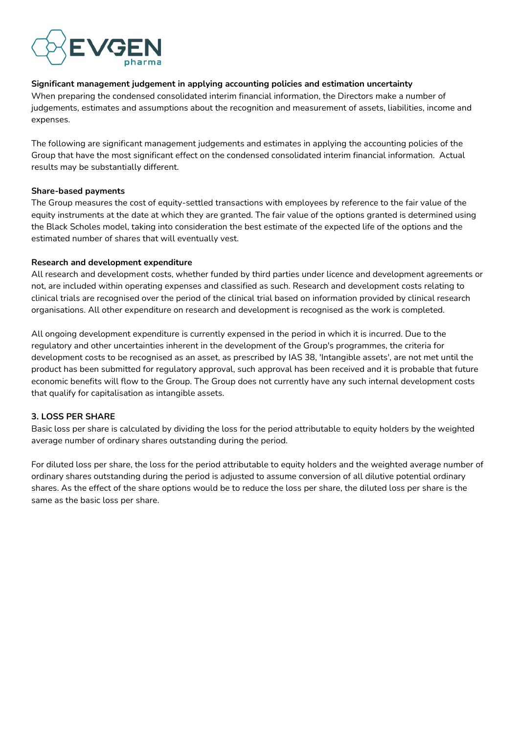

#### **Significant management judgement in applying accounting policies and estimation uncertainty**

When preparing the condensed consolidated interim financial information, the Directors make a number of judgements, estimates and assumptions about the recognition and measurement of assets, liabilities, income and expenses.

The following are significant management judgements and estimates in applying the accounting policies of the Group that have the most significant effect on the condensed consolidated interim financial information. Actual results may be substantially different.

#### **Share-based payments**

The Group measures the cost of equity-settled transactions with employees by reference to the fair value of the equity instruments at the date at which they are granted. The fair value of the options granted is determined using the Black Scholes model, taking into consideration the best estimate of the expected life of the options and the estimated number of shares that will eventually vest.

#### **Research and development expenditure**

All research and development costs, whether funded by third parties under licence and development agreements or not, are included within operating expenses and classified as such. Research and development costs relating to clinical trials are recognised over the period of the clinical trial based on information provided by clinical research organisations. All other expenditure on research and development is recognised as the work is completed.

All ongoing development expenditure is currently expensed in the period in which it is incurred. Due to the regulatory and other uncertainties inherent in the development of the Group's programmes, the criteria for development costs to be recognised as an asset, as prescribed by IAS 38, 'Intangible assets', are not met until the product has been submitted for regulatory approval, such approval has been received and it is probable that future economic benefits will flow to the Group. The Group does not currently have any such internal development costs that qualify for capitalisation as intangible assets.

#### **3. LOSS PER SHARE**

Basic loss per share is calculated by dividing the loss for the period attributable to equity holders by the weighted average number of ordinary shares outstanding during the period.

For diluted loss per share, the loss for the period attributable to equity holders and the weighted average number of ordinary shares outstanding during the period is adjusted to assume conversion of all dilutive potential ordinary shares. As the effect of the share options would be to reduce the loss per share, the diluted loss per share is the same as the basic loss per share.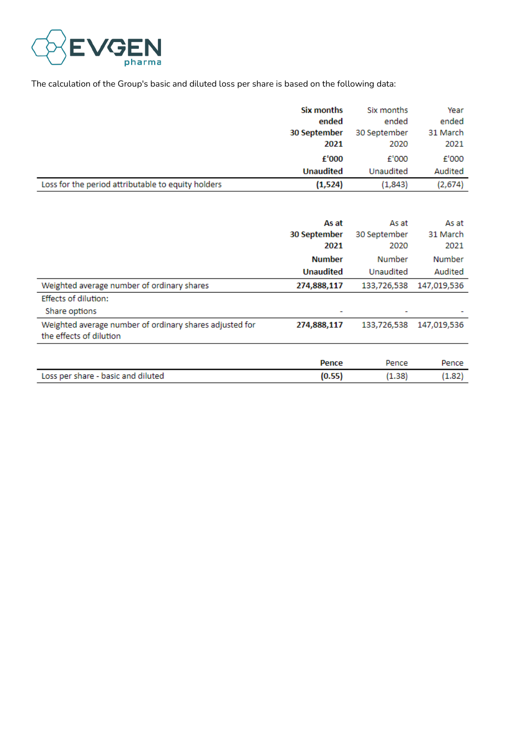

The calculation of the Group's basic and diluted loss per share is based on the following data:

|                                                    | Six months       | Six months   | Year     |
|----------------------------------------------------|------------------|--------------|----------|
|                                                    | ended            | ended        | ended    |
|                                                    | 30 September     | 30 September | 31 March |
|                                                    | 2021             | 2020         | 2021     |
|                                                    | f'000            | £'000        | £'000    |
|                                                    | <b>Unaudited</b> | Unaudited    | Audited  |
| Loss for the period attributable to equity holders | (1,524)          | (1,843)      | (2,674)  |

|                                                                                    | As at<br>30 September<br>2021 | As at<br>30 September<br>2020 | As at<br>31 March<br>2021 |
|------------------------------------------------------------------------------------|-------------------------------|-------------------------------|---------------------------|
|                                                                                    | <b>Number</b>                 | Number                        | Number                    |
|                                                                                    | <b>Unaudited</b>              | Unaudited                     | Audited                   |
| Weighted average number of ordinary shares                                         | 274,888,117                   | 133,726,538                   | 147,019,536               |
| <b>Effects of dilution:</b>                                                        |                               |                               |                           |
| Share options                                                                      | ٠                             |                               |                           |
| Weighted average number of ordinary shares adjusted for<br>the effects of dilution | 274,888,117                   | 133,726,538                   | 147,019,536               |
|                                                                                    |                               |                               |                           |
|                                                                                    | Pence                         | Pence                         | Pence                     |
| Loss per share - basic and diluted                                                 | (0.55)                        | (1.38)                        | (1.82)                    |